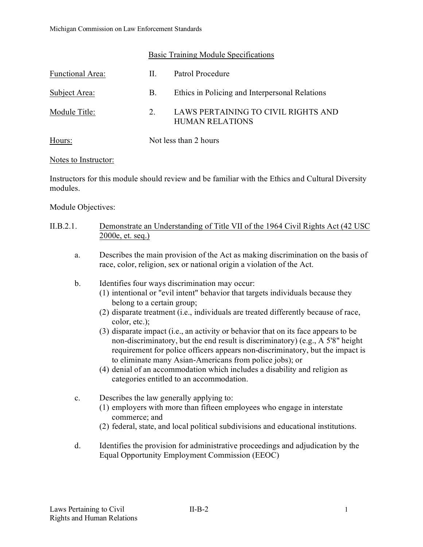#### Basic Training Module Specifications

| Functional Area: | Н. | Patrol Procedure                                              |  |
|------------------|----|---------------------------------------------------------------|--|
| Subject Area:    | В. | Ethics in Policing and Interpersonal Relations                |  |
| Module Title:    | 2. | LAWS PERTAINING TO CIVIL RIGHTS AND<br><b>HUMAN RELATIONS</b> |  |
| Hours:           |    | Not less than 2 hours                                         |  |

#### Notes to Instructor:

Instructors for this module should review and be familiar with the Ethics and Cultural Diversity modules.

Module Objectives:

## II.B.2.1. Demonstrate an Understanding of Title VII of the 1964 Civil Rights Act (42 USC 2000e, et. seq.)

- a. Describes the main provision of the Act as making discrimination on the basis of race, color, religion, sex or national origin a violation of the Act.
- b. Identifies four ways discrimination may occur:
	- (1) intentional or "evil intent" behavior that targets individuals because they belong to a certain group;
	- (2) disparate treatment (i.e., individuals are treated differently because of race, color, etc.);
	- (3) disparate impact (i.e., an activity or behavior that on its face appears to be non-discriminatory, but the end result is discriminatory) (e.g., A 5'8" height requirement for police officers appears non-discriminatory, but the impact is to eliminate many Asian-Americans from police jobs); or
	- (4) denial of an accommodation which includes a disability and religion as categories entitled to an accommodation.
- c. Describes the law generally applying to:
	- (1) employers with more than fifteen employees who engage in interstate commerce; and
	- (2) federal, state, and local political subdivisions and educational institutions.
- d. Identifies the provision for administrative proceedings and adjudication by the Equal Opportunity Employment Commission (EEOC)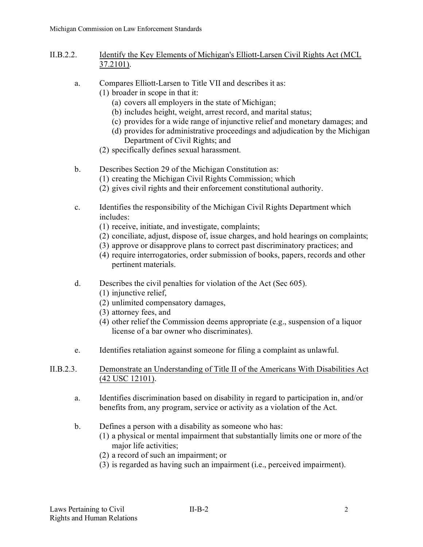## II.B.2.2. Identify the Key Elements of Michigan's Elliott-Larsen Civil Rights Act (MCL 37.2101).

- a. Compares Elliott-Larsen to Title VII and describes it as:
	- (1) broader in scope in that it:
		- (a) covers all employers in the state of Michigan;
		- (b) includes height, weight, arrest record, and marital status;
		- (c) provides for a wide range of injunctive relief and monetary damages; and
		- (d) provides for administrative proceedings and adjudication by the Michigan Department of Civil Rights; and
		- (2) specifically defines sexual harassment.
- b. Describes Section 29 of the Michigan Constitution as:
	- (1) creating the Michigan Civil Rights Commission; which
	- (2) gives civil rights and their enforcement constitutional authority.
- c. Identifies the responsibility of the Michigan Civil Rights Department which includes:
	- (1) receive, initiate, and investigate, complaints;
	- (2) conciliate, adjust, dispose of, issue charges, and hold hearings on complaints;
	- (3) approve or disapprove plans to correct past discriminatory practices; and
	- (4) require interrogatories, order submission of books, papers, records and other pertinent materials.
- d. Describes the civil penalties for violation of the Act (Sec 605).
	- (1) injunctive relief,
	- (2) unlimited compensatory damages,
	- (3) attorney fees, and
	- (4) other relief the Commission deems appropriate (e.g., suspension of a liquor license of a bar owner who discriminates).
- e. Identifies retaliation against someone for filing a complaint as unlawful.
- II.B.2.3. Demonstrate an Understanding of Title II of the Americans With Disabilities Act (42 USC 12101).
	- a. Identifies discrimination based on disability in regard to participation in, and/or benefits from, any program, service or activity as a violation of the Act.
	- b. Defines a person with a disability as someone who has:
		- (1) a physical or mental impairment that substantially limits one or more of the major life activities;
		- (2) a record of such an impairment; or
		- (3) is regarded as having such an impairment (i.e., perceived impairment).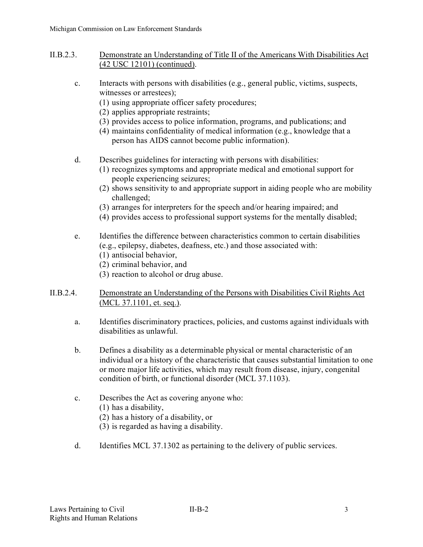- II.B.2.3. Demonstrate an Understanding of Title II of the Americans With Disabilities Act (42 USC 12101) (continued).
	- c. Interacts with persons with disabilities (e.g., general public, victims, suspects, witnesses or arrestees);
		- (1) using appropriate officer safety procedures;
		- (2) applies appropriate restraints;
		- (3) provides access to police information, programs, and publications; and
		- (4) maintains confidentiality of medical information (e.g., knowledge that a person has AIDS cannot become public information).
	- d. Describes guidelines for interacting with persons with disabilities:
		- (1) recognizes symptoms and appropriate medical and emotional support for people experiencing seizures;
		- (2) shows sensitivity to and appropriate support in aiding people who are mobility challenged;
		- (3) arranges for interpreters for the speech and/or hearing impaired; and
		- (4) provides access to professional support systems for the mentally disabled;
	- e. Identifies the difference between characteristics common to certain disabilities (e.g., epilepsy, diabetes, deafness, etc.) and those associated with:
		- (1) antisocial behavior,
		- (2) criminal behavior, and
		- (3) reaction to alcohol or drug abuse.
- II.B.2.4. Demonstrate an Understanding of the Persons with Disabilities Civil Rights Act (MCL 37.1101, et. seq.).
	- a. Identifies discriminatory practices, policies, and customs against individuals with disabilities as unlawful.
	- b. Defines a disability as a determinable physical or mental characteristic of an individual or a history of the characteristic that causes substantial limitation to one or more major life activities, which may result from disease, injury, congenital condition of birth, or functional disorder (MCL 37.1103).
	- c. Describes the Act as covering anyone who:
		- (1) has a disability,
		- (2) has a history of a disability, or
		- (3) is regarded as having a disability.
	- d. Identifies MCL 37.1302 as pertaining to the delivery of public services.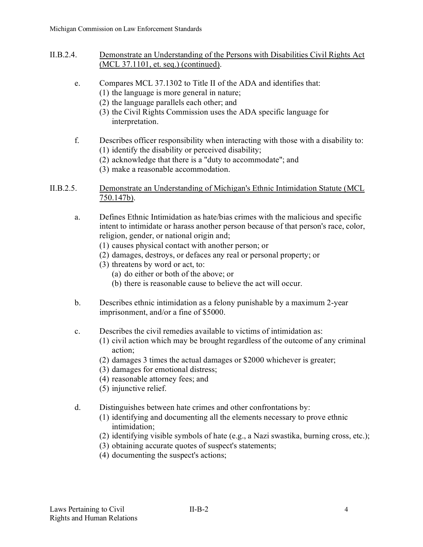- II.B.2.4. Demonstrate an Understanding of the Persons with Disabilities Civil Rights Act (MCL 37.1101, et. seq.) (continued).
	- e. Compares MCL 37.1302 to Title II of the ADA and identifies that:
		- (1) the language is more general in nature;
		- (2) the language parallels each other; and
		- (3) the Civil Rights Commission uses the ADA specific language for interpretation.
	- f. Describes officer responsibility when interacting with those with a disability to: (1) identify the disability or perceived disability;
		- (2) acknowledge that there is a "duty to accommodate"; and
		- (3) make a reasonable accommodation.
- II.B.2.5. Demonstrate an Understanding of Michigan's Ethnic Intimidation Statute (MCL 750.147b).
	- a. Defines Ethnic Intimidation as hate/bias crimes with the malicious and specific intent to intimidate or harass another person because of that person's race, color, religion, gender, or national origin and;
		- (1) causes physical contact with another person; or
		- (2) damages, destroys, or defaces any real or personal property; or
		- (3) threatens by word or act, to:
			- (a) do either or both of the above; or
			- (b) there is reasonable cause to believe the act will occur.
	- b. Describes ethnic intimidation as a felony punishable by a maximum 2-year imprisonment, and/or a fine of \$5000.
	- c. Describes the civil remedies available to victims of intimidation as:
		- (1) civil action which may be brought regardless of the outcome of any criminal action;
		- (2) damages 3 times the actual damages or \$2000 whichever is greater;
		- (3) damages for emotional distress;
		- (4) reasonable attorney fees; and
		- (5) injunctive relief.
	- d. Distinguishes between hate crimes and other confrontations by:
		- (1) identifying and documenting all the elements necessary to prove ethnic intimidation;
		- (2) identifying visible symbols of hate (e.g., a Nazi swastika, burning cross, etc.);
		- (3) obtaining accurate quotes of suspect's statements;
		- (4) documenting the suspect's actions;